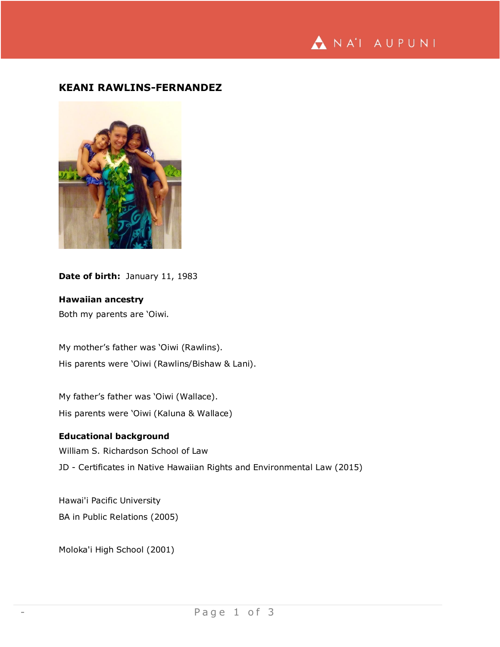

# **KEANI RAWLINS-FERNANDEZ**



Date of birth: January 11, 1983

**Hawaiian ancestry**

Both my parents are 'Oiwi.

My mother's father was 'Oiwi (Rawlins). His parents were 'Oiwi (Rawlins/Bishaw & Lani).

My father's father was 'Oiwi (Wallace). His parents were 'Oiwi (Kaluna & Wallace)

## **Educational background**

William S. Richardson School of Law

JD - Certificates in Native Hawaiian Rights and Environmental Law (2015)

Hawai'i Pacific University BA in Public Relations (2005)

Moloka'i High School (2001)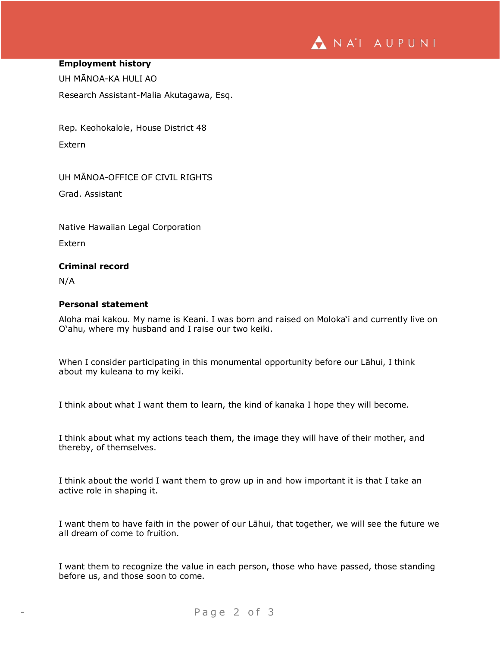# NA'I AUPUNI

#### **Employment history**

UH MĀNOA-KA HULI AO

Research Assistant-Malia Akutagawa, Esq.

Rep. Keohokalole, House District 48 Extern

UH MĀNOA-OFFICE OF CIVIL RIGHTS

Grad. Assistant

Native Hawaiian Legal Corporation

Extern

## **Criminal record**

N/A

### **Personal statement**

Aloha mai kakou. My name is Keani. I was born and raised on Moloka'i and currently live on O'ahu, where my husband and I raise our two keiki.

When I consider participating in this monumental opportunity before our Lāhui, I think about my kuleana to my keiki.

I think about what I want them to learn, the kind of kanaka I hope they will become.

I think about what my actions teach them, the image they will have of their mother, and thereby, of themselves.

I think about the world I want them to grow up in and how important it is that I take an active role in shaping it.

I want them to have faith in the power of our Lāhui, that together, we will see the future we all dream of come to fruition.

I want them to recognize the value in each person, those who have passed, those standing before us, and those soon to come.